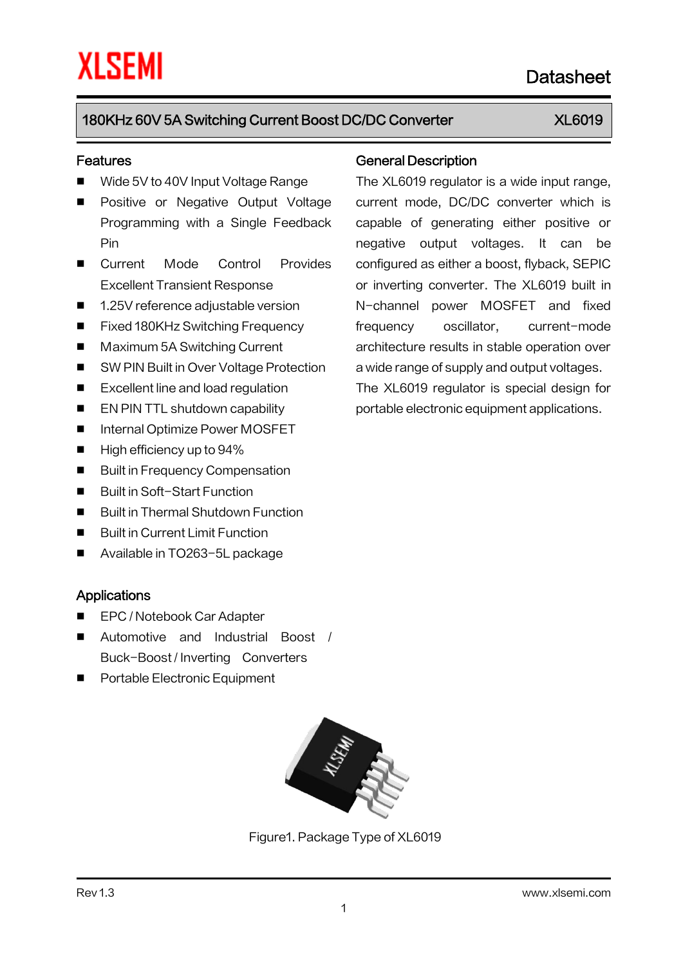### Features

- Wide 5V to 40V Input Voltage Range
- **Positive or Negative Output Voltage** Programming with a Single Feedback Pin
- Current Mode Control Provides Excellent Transient Response
- 1.25V reference adjustable version
- Fixed 180KHz Switching Frequency
- Maximum 5A Switching Current
- SW PIN Built in Over Voltage Protection
- Excellent line and load regulation
- **EN PIN TTL shutdown capability**
- Internal Optimize Power MOSFET
- $\blacksquare$  High efficiency up to 94%
- Built in Frequency Compensation
- Built in Soft-Start Function
- Built in Thermal Shutdown Function
- Built in Current Limit Function
- Available in TO263-5L package

### Applications

- EPC / Notebook Car Adapter
- Automotive and Industrial Boost / Buck-Boost / Inverting Converters
- **Portable Electronic Equipment**



Figure1. Package Type of XL6019

### General Description

The XL6019 regulator is a wide input range, current mode, DC/DC converter which is capable of generating either positive or negative output voltages. It can be configured as either a boost, flyback, SEPIC or inverting converter. The XL6019 built in N-channel power MOSFET and fixed frequency oscillator, current-mode architecture results in stable operation over a wide range of supply and output voltages. The XL6019 regulator is special design for

portable electronic equipment applications.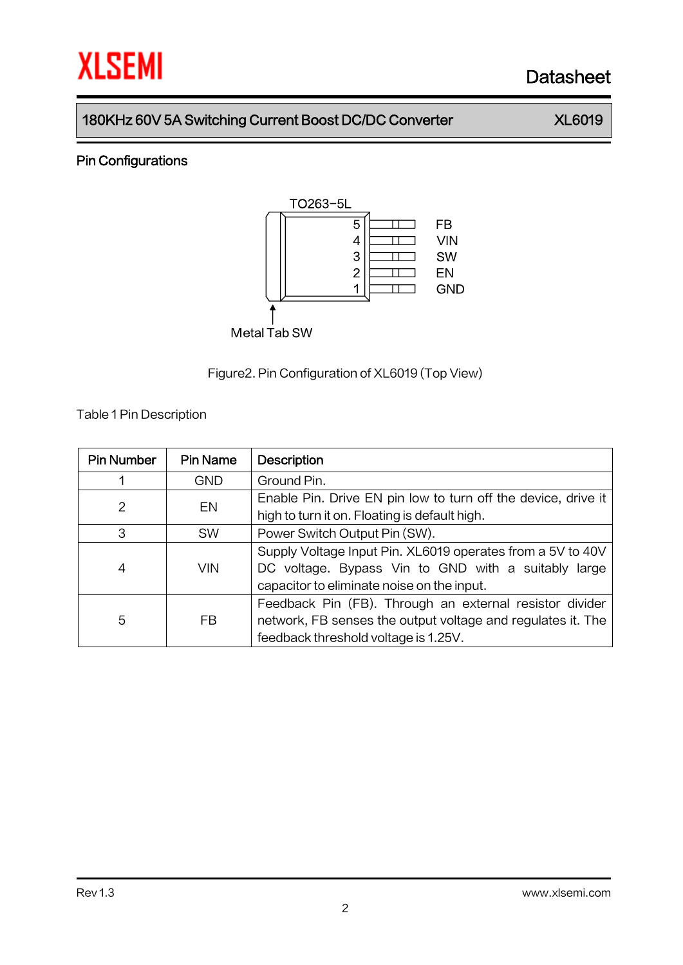

## Pin Configurations



Figure2.Pin Configuration of XL6019 (Top View)

Table 1Pin Description

| <b>Pin Number</b> | <b>Pin Name</b> | <b>Description</b>                                            |  |  |  |
|-------------------|-----------------|---------------------------------------------------------------|--|--|--|
|                   | <b>GND</b>      | Ground Pin.                                                   |  |  |  |
| 2                 | EN              | Enable Pin. Drive EN pin low to turn off the device, drive it |  |  |  |
|                   |                 | high to turn it on. Floating is default high.                 |  |  |  |
| 3                 | <b>SW</b>       | Power Switch Output Pin (SW).                                 |  |  |  |
| 4<br><b>VIN</b>   |                 | Supply Voltage Input Pin. XL6019 operates from a 5V to 40V    |  |  |  |
|                   |                 | DC voltage. Bypass Vin to GND with a suitably large           |  |  |  |
|                   |                 | capacitor to eliminate noise on the input.                    |  |  |  |
|                   |                 | Feedback Pin (FB). Through an external resistor divider       |  |  |  |
| 5                 | FB              | network, FB senses the output voltage and regulates it. The   |  |  |  |
|                   |                 | feedback threshold voltage is 1.25V.                          |  |  |  |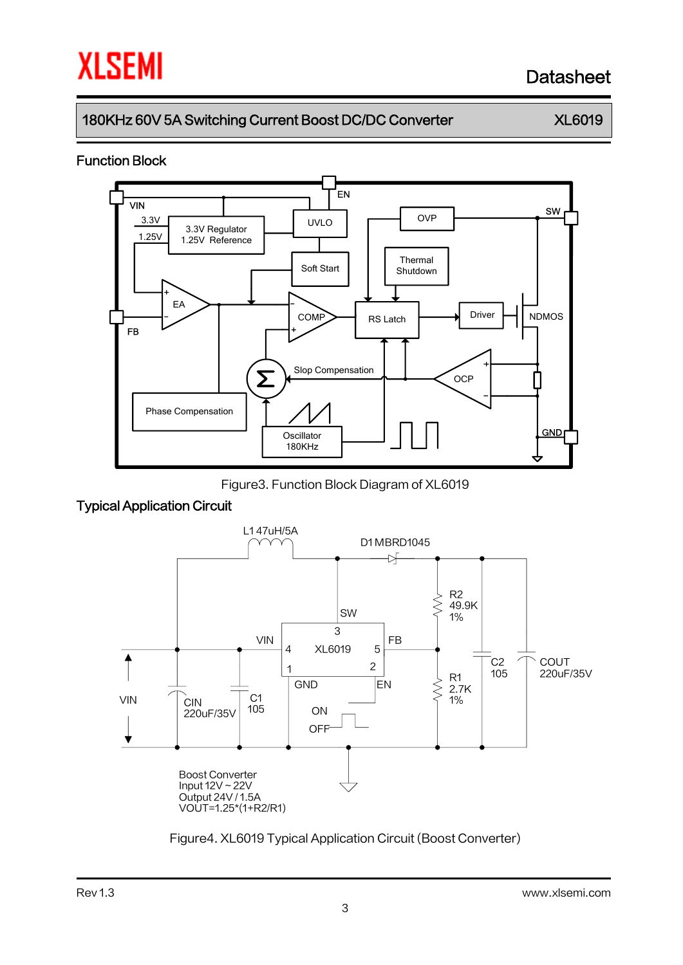# 180KHz 60V 5A Switching Current Boost DC/DC Converter XL6019

### Function Block



Figure3. Function Block Diagram of XL6019

## Typical Application Circuit



Figure4. XL6019 Typical Application Circuit (Boost Converter)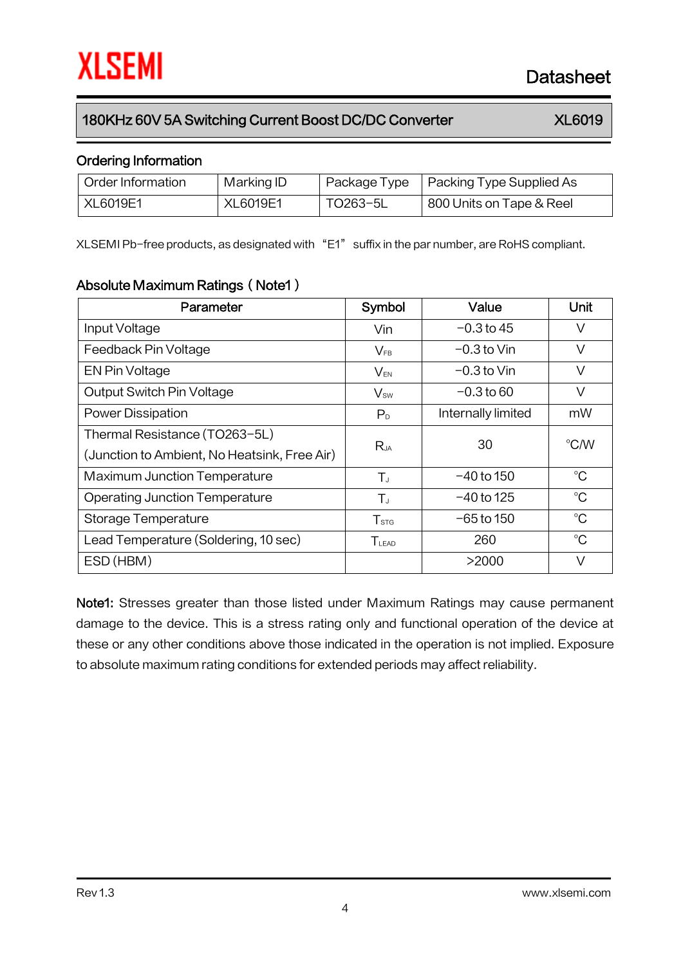## Ordering Information

| Order Information | Marking ID |          | Package Type   Packing Type Supplied As |
|-------------------|------------|----------|-----------------------------------------|
| XL6019E1          | XL6019E1   | TO263-5L | 800 Units on Tape & Reel                |

XLSEMI Pb-free products, as designated with "E1" suffix in the par number, are RoHS compliant.

## Absolute Maximum Ratings (Note1)

| Parameter                                    | Symbol                            | Value              | Unit          |  |
|----------------------------------------------|-----------------------------------|--------------------|---------------|--|
| Input Voltage                                | Vin                               | $-0.3$ to 45       | V             |  |
| Feedback Pin Voltage                         | $V_{FB}$                          | $-0.3$ to Vin      | V             |  |
| EN Pin Voltage                               | $V_{EN}$                          | $-0.3$ to Vin      | V             |  |
| <b>Output Switch Pin Voltage</b>             | $V_{sw}$                          | $-0.3$ to 60       | V             |  |
| Power Dissipation                            | P <sub>D</sub>                    | Internally limited | mW            |  |
| Thermal Resistance (TO263-5L)                |                                   | 30                 | $\degree$ C/W |  |
| (Junction to Ambient, No Heatsink, Free Air) | Rja                               |                    |               |  |
| <b>Maximum Junction Temperature</b>          | $T_{J}$                           | $-40$ to 150       | $^{\circ}C$   |  |
| <b>Operating Junction Temperature</b>        | $T_{J}$                           | $-40$ to 125       | $^{\circ}C$   |  |
| Storage Temperature                          | T <sub>STG</sub>                  | $-65$ to 150       | $^{\circ}C$   |  |
| Lead Temperature (Soldering, 10 sec)         | $\mathsf{T}_{\text{\tiny{LEAD}}}$ | 260                | $^{\circ}C$   |  |
| ESD (HBM)                                    |                                   | >2000              | V             |  |

Note1: Stresses greater than those listed under Maximum Ratings may cause permanent damage to the device. This is a stress rating only and functional operation of the device at these or any other conditions above those indicated in the operation is not implied. Exposure to absolute maximum rating conditions for extended periods may affect reliability.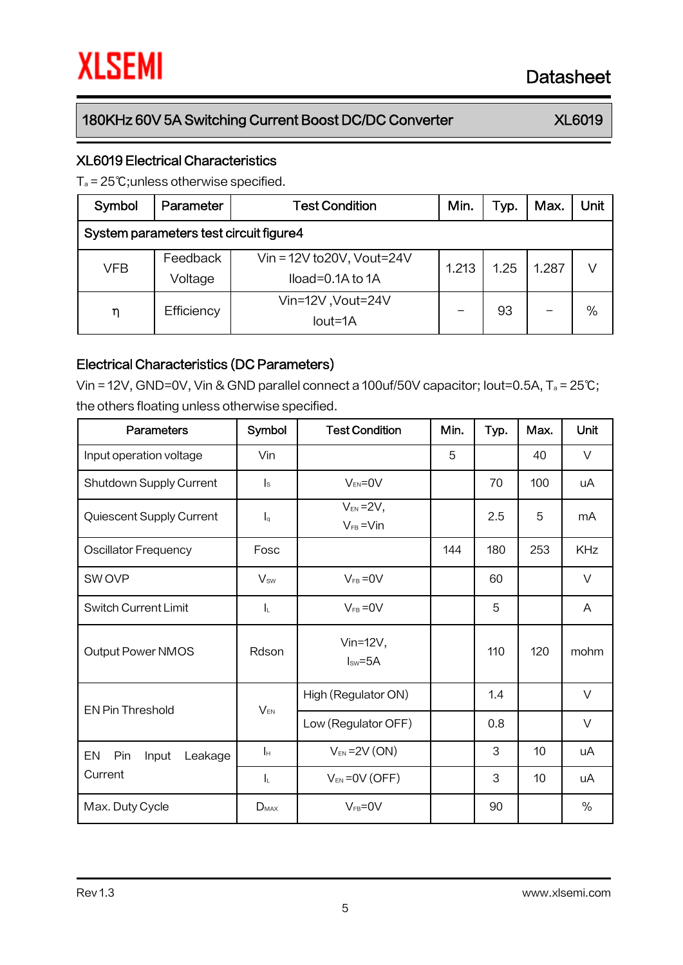## XL6019 Electrical Characteristics

T<sup>a</sup> = 25℃;unless otherwise specified.

| Symbol                                 | Parameter           | <b>Test Condition</b>                                  | Min.  | Typ. | Max.  | Unit |
|----------------------------------------|---------------------|--------------------------------------------------------|-------|------|-------|------|
| System parameters test circuit figure4 |                     |                                                        |       |      |       |      |
| VFB                                    | Feedback<br>Voltage | Vin = $12V$ to $20V$ , Vout= $24V$<br>Iload=0.1A to 1A | 1.213 | 1.25 | 1.287 | V    |
| η                                      | Efficiency          | Vin=12V, Vout=24V<br>$Iout=1A$                         |       | 93   |       | $\%$ |

### Electrical Characteristics (DC Parameters)

Vin = 12V, GND=0V, Vin & GND parallel connect a 100uf/50V capacitor; Iout=0.5A, T<sup>a</sup> = 25℃; the others floating unless otherwise specified.

| <b>Parameters</b>             | Symbol                  | <b>Test Condition</b>             | Min. | Typ. | Max. | Unit       |
|-------------------------------|-------------------------|-----------------------------------|------|------|------|------------|
| Input operation voltage       | Vin                     |                                   | 5    |      | 40   | $\vee$     |
| Shutdown Supply Current       | $\mathsf{I}_\mathsf{S}$ | $V_{EN} = 0V$                     |      | 70   | 100  | uA         |
| Quiescent Supply Current      | $I_q$                   | $V_{EN} = 2V$ ,<br>$V_{FB} = Vin$ |      | 2.5  | 5    | mA         |
| <b>Oscillator Frequency</b>   | Fosc                    |                                   | 144  | 180  | 253  | <b>KHz</b> |
| SW OVP                        | $V_{sw}$                | $V_{FB} = 0V$                     |      | 60   |      | $\vee$     |
| <b>Switch Current Limit</b>   | IL.                     | $V_{FB} = 0V$                     |      | 5    |      | A          |
| <b>Output Power NMOS</b>      | Rdson                   | Vin= $12V$ ,<br>$Isw=5A$          |      | 110  | 120  | mohm       |
| <b>EN Pin Threshold</b>       | $V_{EN}$                | High (Regulator ON)               |      | 1.4  |      | $\vee$     |
|                               |                         | Low (Regulator OFF)               |      | 0.8  |      | $\vee$     |
| EN<br>Pin<br>Leakage<br>Input | $\mathbf{r}$            | $V_{EN}$ = 2V (ON)                |      | 3    | 10   | uA         |
| Current                       | IL.                     | $V_{EN} = OV(OFF)$                |      | 3    | 10   | uA         |
| Max. Duty Cycle               | $D_{MAX}$               | $V_{FB} = 0V$                     |      | 90   |      | $\%$       |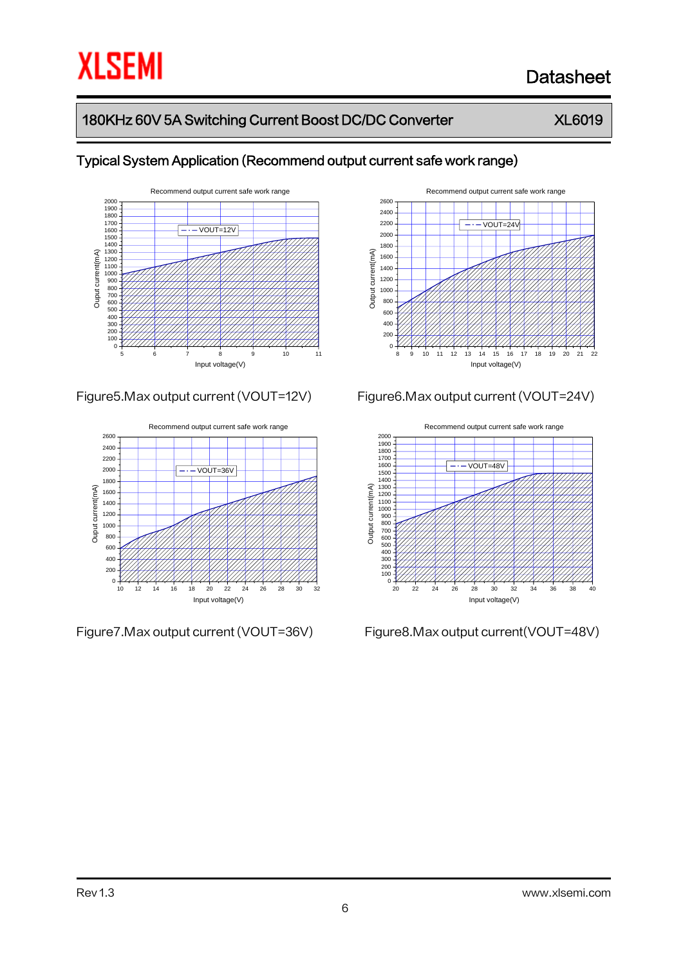# 180KHz 60V 5A Switching Current Boost DC/DC Converter XL6019



## Typical System Application (Recommend output current safe work range)





Figure7.Max output current (VOUT=36V) Figure8.Max output current(VOUT=48V)



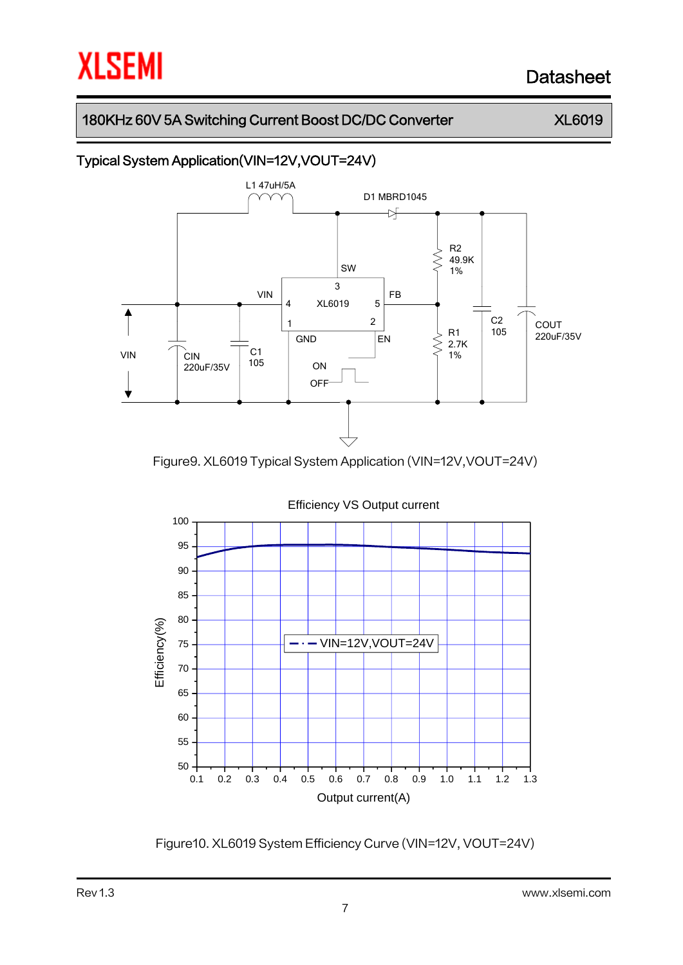## 180KHz 60V 5A Switching Current Boost DC/DC Converter XL6019

# Typical System Application(VIN=12V,VOUT=24V)



Figure9. XL6019 Typical System Application (VIN=12V,VOUT=24V)



Figure10. XL6019 System Efficiency Curve (VIN=12V, VOUT=24V)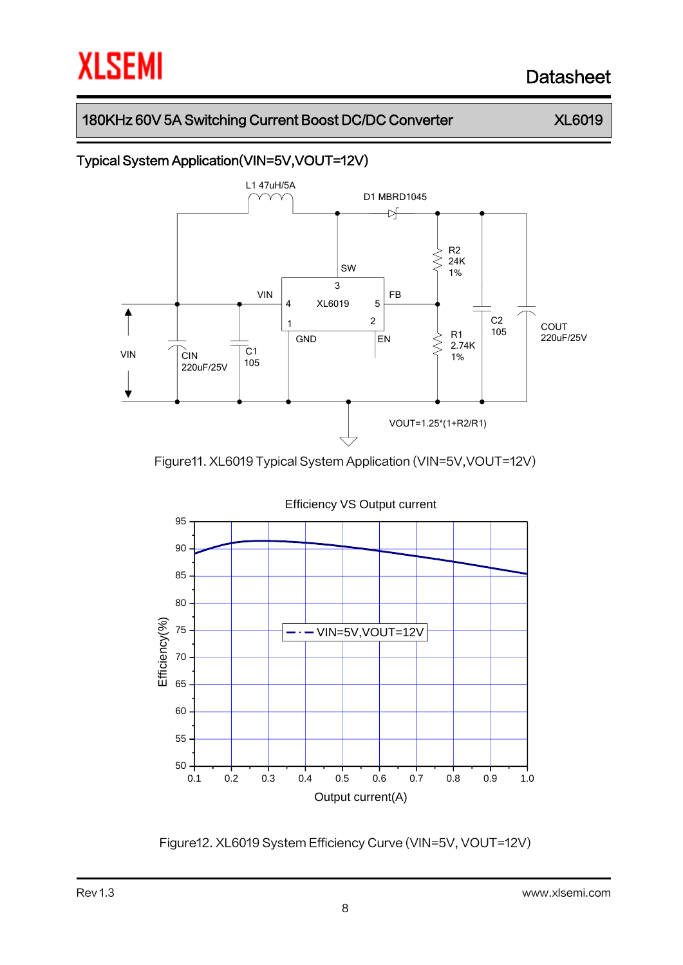## 180KHz 60V 5A Switching Current Boost DC/DC Converter XL6019

# Typical System Application(VIN=5V,VOUT=12V)



Figure11. XL6019 Typical System Application (VIN=5V,VOUT=12V)



Figure12. XL6019 System Efficiency Curve (VIN=5V, VOUT=12V)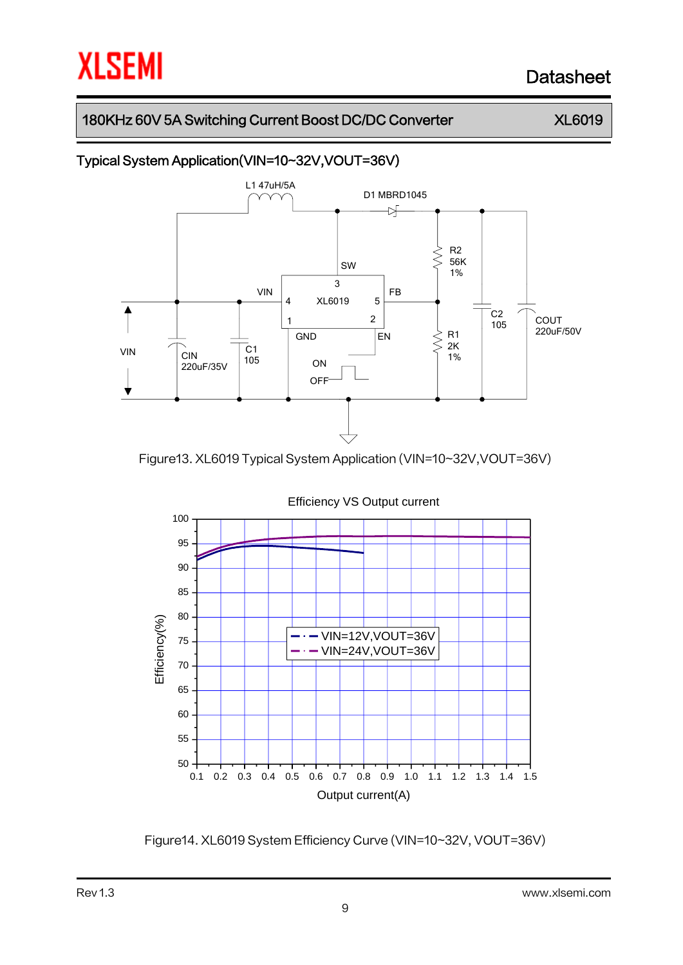## 180KHz 60V 5A Switching Current Boost DC/DC Converter XL6019

# Typical System Application(VIN=10~32V,VOUT=36V)



Figure13. XL6019 Typical System Application (VIN=10~32V,VOUT=36V)



Figure14. XL6019 System Efficiency Curve (VIN=10~32V, VOUT=36V)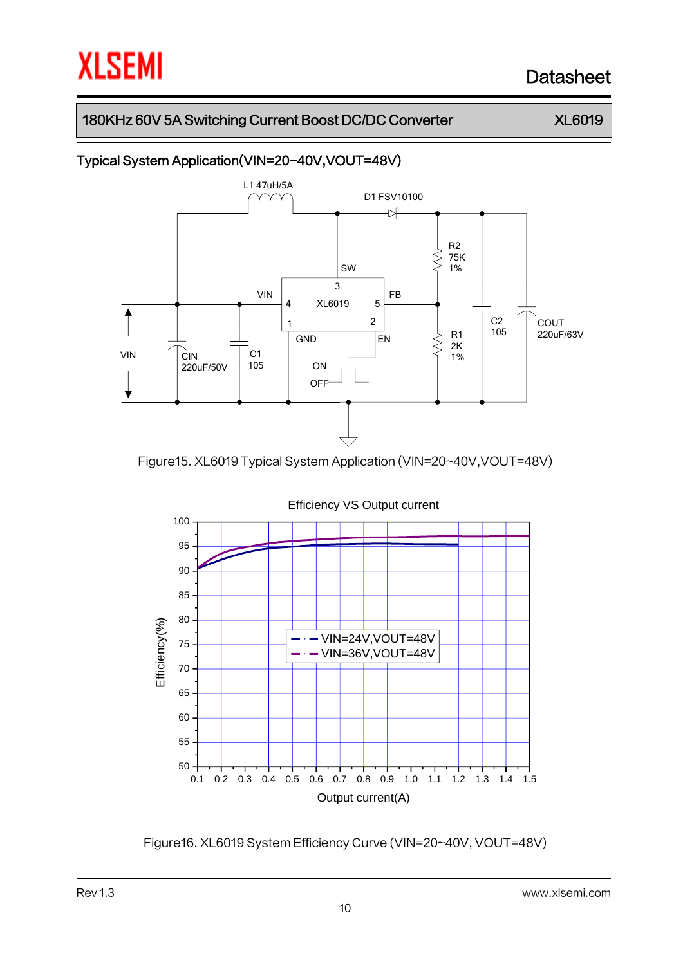## 180KHz 60V 5A Switching Current Boost DC/DC Converter XL6019

# Typical System Application(VIN=20~40V,VOUT=48V)



Figure15. XL6019 Typical System Application (VIN=20~40V,VOUT=48V)



Figure16. XL6019 System Efficiency Curve (VIN=20~40V, VOUT=48V)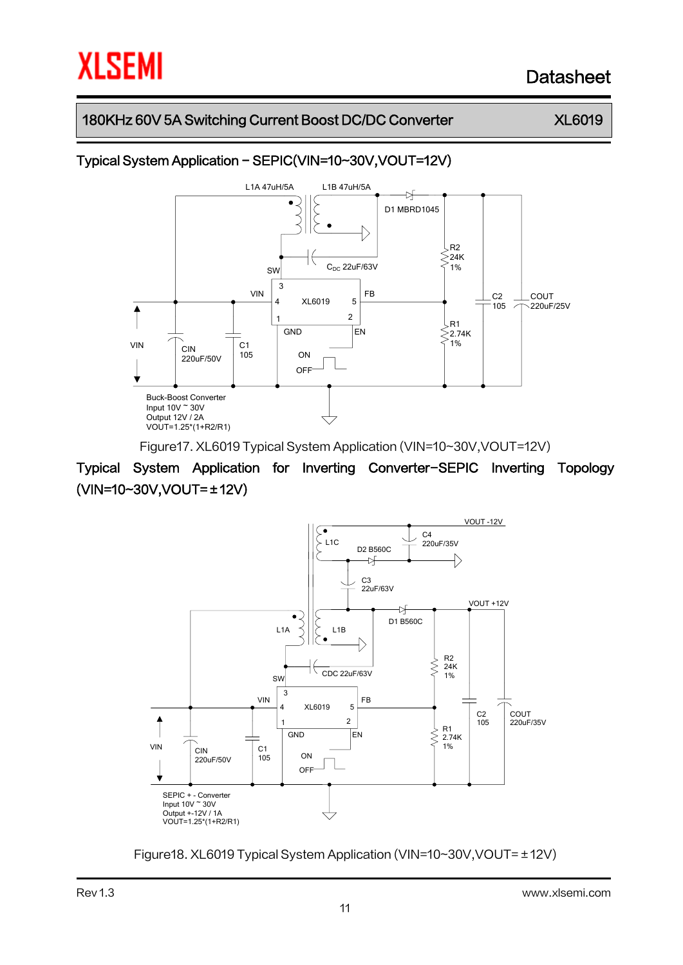## 180KHz 60V 5A Switching Current Boost DC/DC Converter XL6019

# Typical System Application - SEPIC(VIN=10~30V,VOUT=12V)



Figure17. XL6019 Typical System Application (VIN=10~30V,VOUT=12V)

Typical System Application for Inverting Converter-SEPIC Inverting Topology (VIN=10~30V,VOUT=±12V)



Figure18. XL6019 Typical System Application (VIN=10~30V,VOUT=±12V)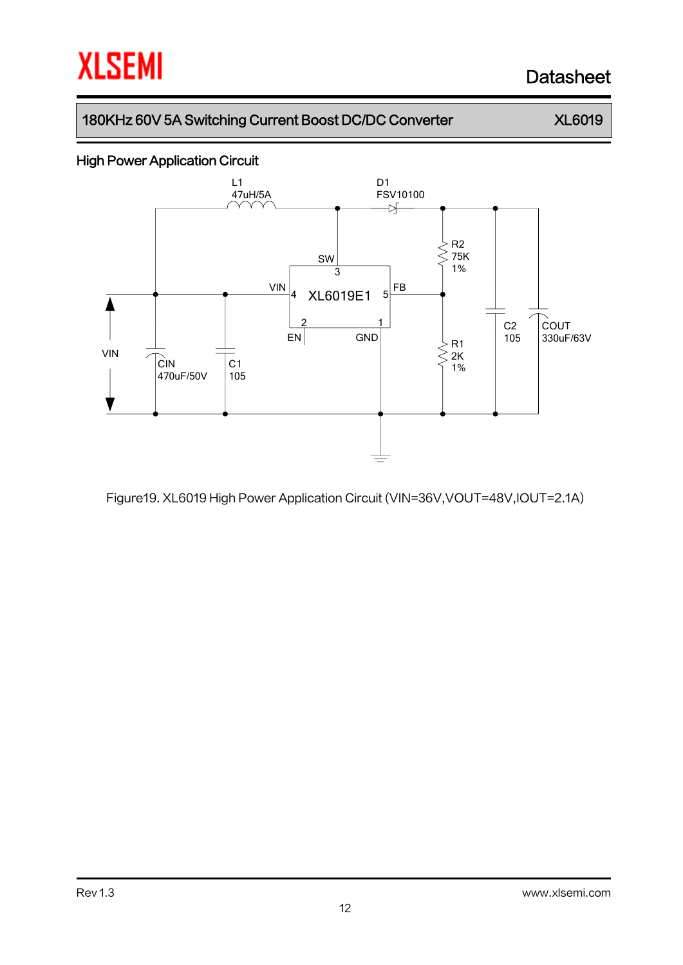## 180KHz 60V 5A Switching Current Boost DC/DC Converter XL6019

# High Power Application Circuit



Figure19. XL6019 High Power Application Circuit (VIN=36V,VOUT=48V,IOUT=2.1A)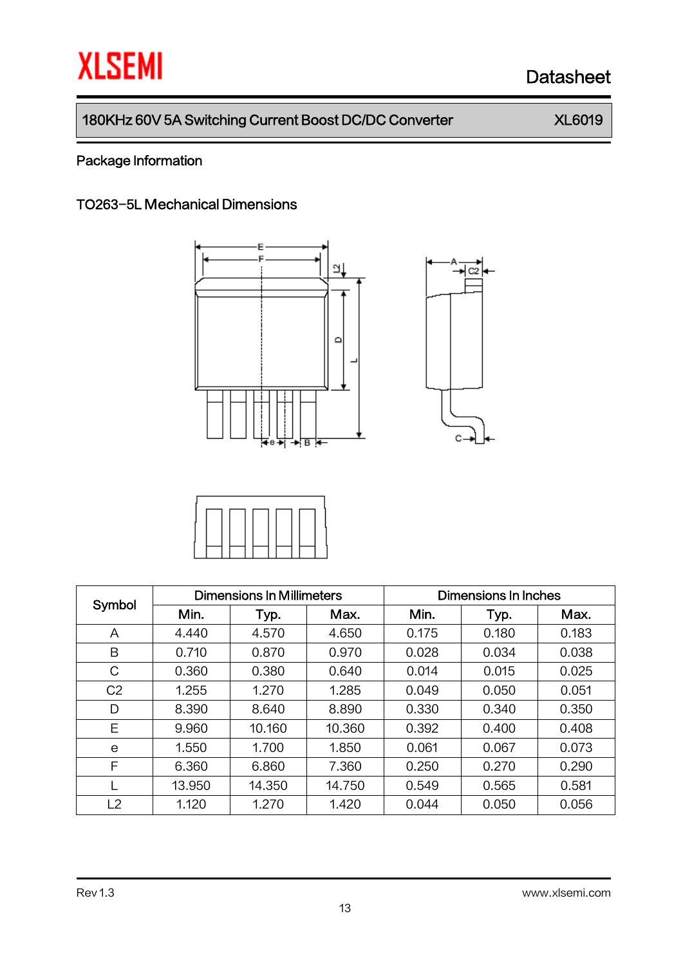$\overline{c}$ 

C

# 180KHz 60V 5A Switching Current Boost DC/DC Converter XL6019

# Package Information

## TO263-5L Mechanical Dimensions





| Symbol         | <b>Dimensions In Millimeters</b> |        |        | Dimensions In Inches |       |       |  |
|----------------|----------------------------------|--------|--------|----------------------|-------|-------|--|
|                | Min.                             | Typ.   | Max.   | Min.                 | Typ.  | Max.  |  |
| A              | 4.440                            | 4.570  | 4.650  | 0.175                | 0.180 | 0.183 |  |
| B              | 0.710                            | 0.870  | 0.970  | 0.028                | 0.034 | 0.038 |  |
| C              | 0.360                            | 0.380  | 0.640  | 0.014                | 0.015 | 0.025 |  |
| C <sub>2</sub> | 1.255                            | 1.270  | 1.285  | 0.049                | 0.050 | 0.051 |  |
| D              | 8.390                            | 8.640  | 8.890  | 0.330                | 0.340 | 0.350 |  |
| Ε              | 9.960                            | 10.160 | 10.360 | 0.392                | 0.400 | 0.408 |  |
| e              | 1.550                            | 1.700  | 1.850  | 0.061                | 0.067 | 0.073 |  |
| F              | 6.360                            | 6.860  | 7.360  | 0.250                | 0.270 | 0.290 |  |
|                | 13.950                           | 14.350 | 14.750 | 0.549                | 0.565 | 0.581 |  |
| L2             | 1.120                            | 1.270  | 1.420  | 0.044                | 0.050 | 0.056 |  |